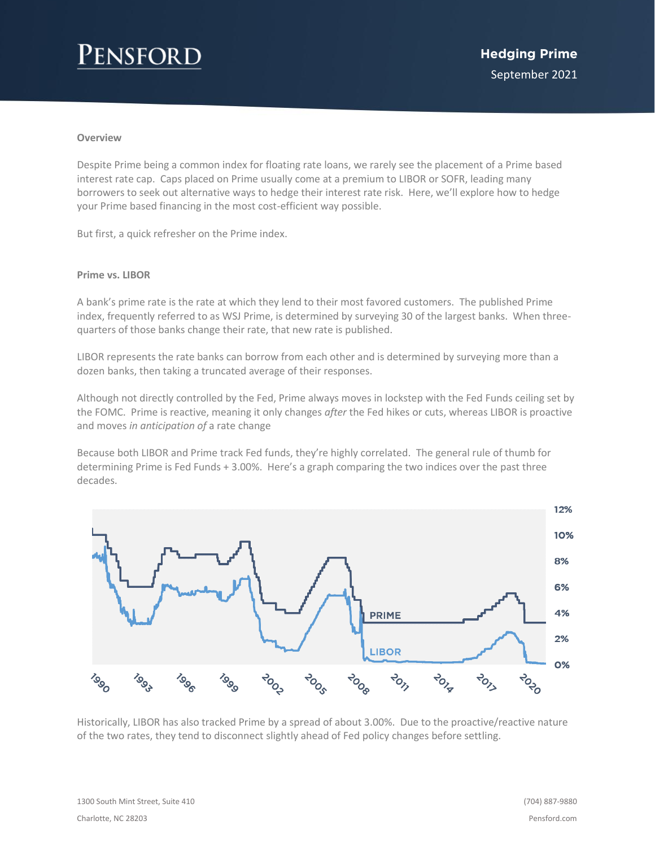# Pensford

#### **Overview**

Despite Prime being a common index for floating rate loans, we rarely see the placement of a Prime based interest rate cap. Caps placed on Prime usually come at a premium to LIBOR or SOFR, leading many borrowers to seek out alternative ways to hedge their interest rate risk. Here, we'll explore how to hedge your Prime based financing in the most cost-efficient way possible.

But first, a quick refresher on the Prime index.

#### **Prime vs. LIBOR**

A bank's prime rate is the rate at which they lend to their most favored customers. The published Prime index, frequently referred to as WSJ Prime, is determined by surveying 30 of the largest banks. When threequarters of those banks change their rate, that new rate is published.

LIBOR represents the rate banks can borrow from each other and is determined by surveying more than a dozen banks, then taking a truncated average of their responses.

Although not directly controlled by the Fed, Prime always moves in lockstep with the Fed Funds ceiling set by the FOMC. Prime is reactive, meaning it only changes *after* the Fed hikes or cuts, whereas LIBOR is proactive and moves *in anticipation of* a rate change

Because both LIBOR and Prime track Fed funds, they're highly correlated. The general rule of thumb for determining Prime is Fed Funds + 3.00%. Here's a graph comparing the two indices over the past three decades.



Historically, LIBOR has also tracked Prime by a spread of about 3.00%. Due to the proactive/reactive nature of the two rates, they tend to disconnect slightly ahead of Fed policy changes before settling.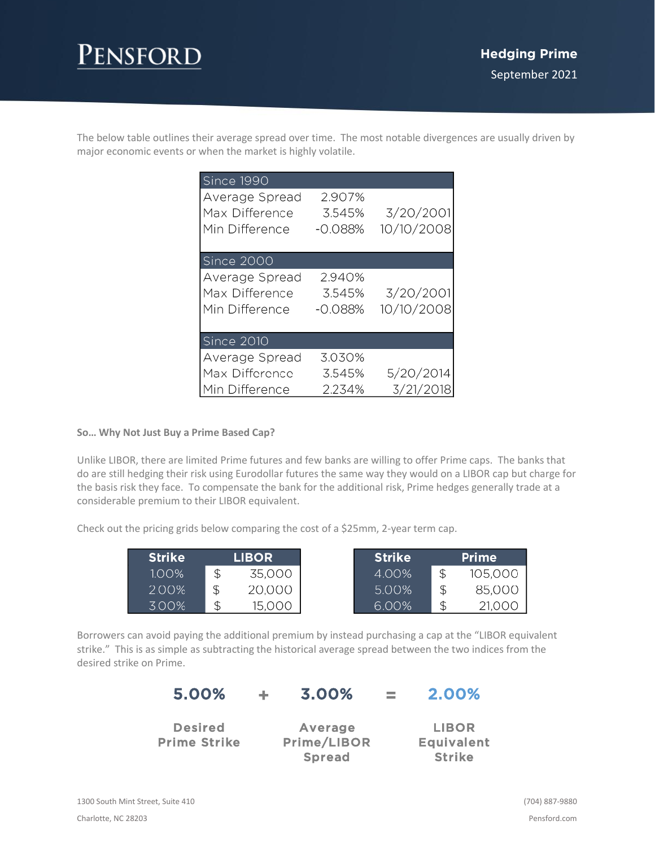The below table outlines their average spread over time. The most notable divergences are usually driven by major economic events or when the market is highly volatile.

| Since 1990                                         |                               |                         |
|----------------------------------------------------|-------------------------------|-------------------------|
| Average Spread<br>Max Difference<br>Min Difference | 2.907%<br>3.545%<br>$-0.088%$ | 3/20/2001<br>10/10/2008 |
|                                                    |                               |                         |
| Since 2000                                         |                               |                         |
| Average Spread<br>Max Difference<br>Min Difference | 2.940%<br>3.545%<br>-0.088%   | 3/20/2001<br>10/10/2008 |
| <b>Since 2010</b>                                  |                               |                         |
| Average Spread                                     | 3.030%                        |                         |
| Max Difference                                     | 3.545%                        | 5/20/2014               |
| Min Difference                                     | 2.234%                        | 3/21/2018               |

### **So… Why Not Just Buy a Prime Based Cap?**

Unlike LIBOR, there are limited Prime futures and few banks are willing to offer Prime caps. The banks that do are still hedging their risk using Eurodollar futures the same way they would on a LIBOR cap but charge for the basis risk they face. To compensate the bank for the additional risk, Prime hedges generally trade at a considerable premium to their LIBOR equivalent.

Check out the pricing grids below comparing the cost of a \$25mm, 2-year term cap.

| <b>Strike</b> | <b>LIBOR</b> |
|---------------|--------------|
| $1.00\%$      | 35,000       |
| 2.00%         | 20,000       |
| 300%          | 15,000       |

Borrowers can avoid paying the additional premium by instead purchasing a cap at the "LIBOR equivalent strike." This is as simple as subtracting the historical average spread between the two indices from the desired strike on Prime.

| 5.00%                                 | ÷. | 3.00%                         | <b>College</b> | 2.00%                             |
|---------------------------------------|----|-------------------------------|----------------|-----------------------------------|
| <b>Desired</b><br><b>Prime Strike</b> |    | <b>Average</b><br>Prime/LIBOR |                | <b>LIBOR</b><br><b>Equivalent</b> |
|                                       |    | <b>Spread</b>                 |                | <b>Strike</b>                     |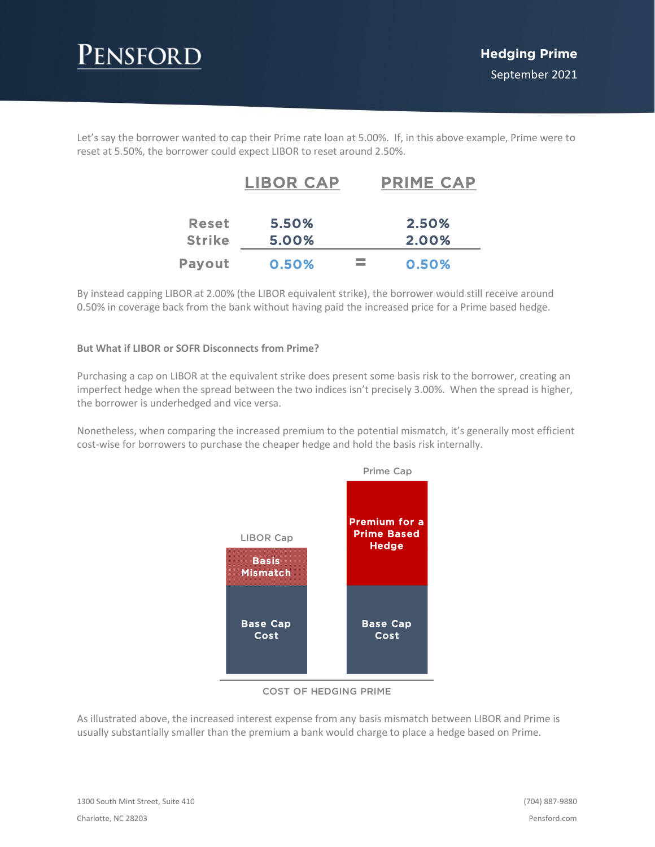

Let's say the borrower wanted to cap their Prime rate loan at 5.00%. If, in this above example, Prime were to reset at 5.50%, the borrower could expect LIBOR to reset around 2.50%.

|               | <b>LIBOR CAP</b> | <b>PRIME CAP</b> |
|---------------|------------------|------------------|
| <b>Reset</b>  | 5.50%            | 2.50%            |
| <b>Strike</b> | 5.00%            | 2.00%            |
| Payout        | 0.50%            | 0.50%            |

By instead capping LIBOR at 2.00% (the LIBOR equivalent strike), the borrower would still receive around 0.50% in coverage back from the bank without having paid the increased price for a Prime based hedge.

### **But What if LIBOR or SOFR Disconnects from Prime?**

Purchasing a cap on LIBOR at the equivalent strike does present some basis risk to the borrower, creating an imperfect hedge when the spread between the two indices isn't precisely 3.00%. When the spread is higher, the borrower is underhedged and vice versa.

Nonetheless, when comparing the increased premium to the potential mismatch, it's generally most efficient cost-wise for borrowers to purchase the cheaper hedge and hold the basis risk internally.



#### COST OF HEDGING PRIME

As illustrated above, the increased interest expense from any basis mismatch between LIBOR and Prime is usually substantially smaller than the premium a bank would charge to place a hedge based on Prime.